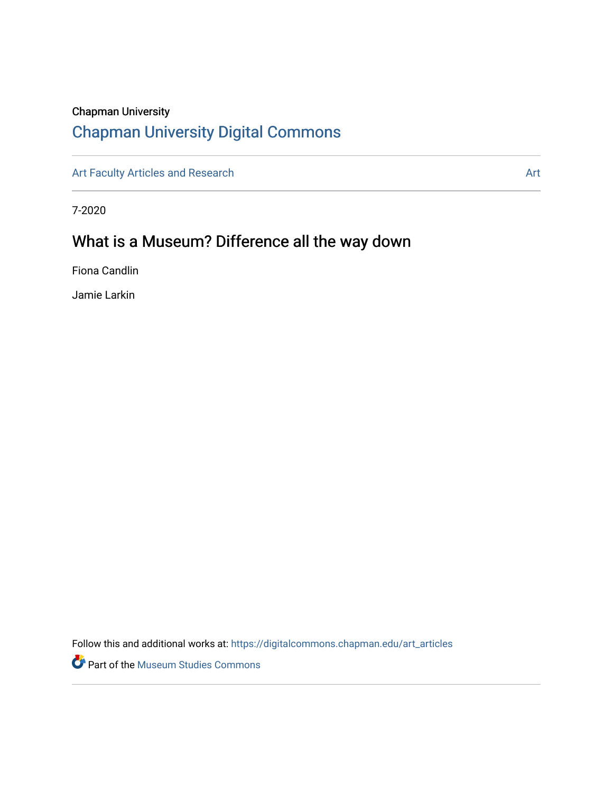## Chapman University

# [Chapman University Digital Commons](https://digitalcommons.chapman.edu/)

[Art Faculty Articles and Research](https://digitalcommons.chapman.edu/art_articles) Articles and Research Articles and Research Articles and Articles and Research Articles and Articles and Articles and Research Articles and Articles and Articles and Articles and Articles

7-2020

# What is a Museum? Difference all the way down

Fiona Candlin

Jamie Larkin

Follow this and additional works at: [https://digitalcommons.chapman.edu/art\\_articles](https://digitalcommons.chapman.edu/art_articles?utm_source=digitalcommons.chapman.edu%2Fart_articles%2F96&utm_medium=PDF&utm_campaign=PDFCoverPages)

Part of the [Museum Studies Commons](http://network.bepress.com/hgg/discipline/1366?utm_source=digitalcommons.chapman.edu%2Fart_articles%2F96&utm_medium=PDF&utm_campaign=PDFCoverPages)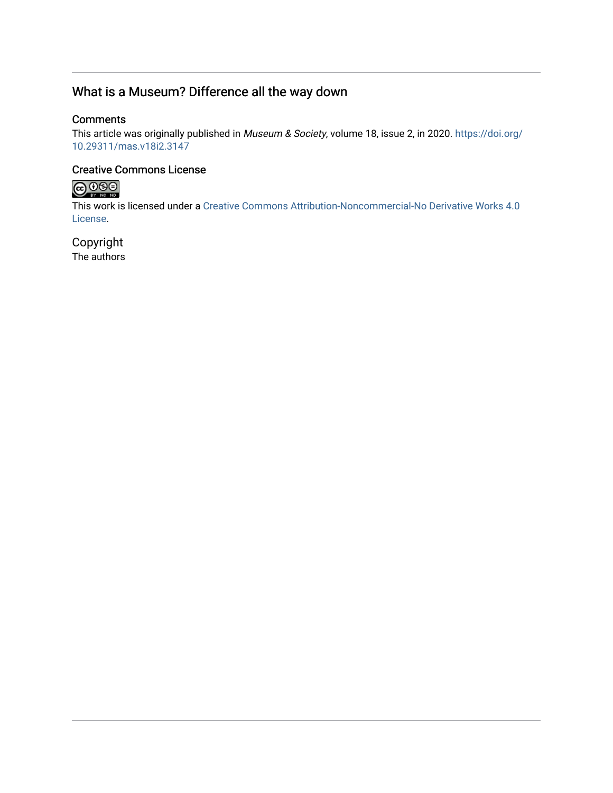## What is a Museum? Difference all the way down

### **Comments**

This article was originally published in Museum & Society, volume 18, issue 2, in 2020. [https://doi.org/](https://doi.org/10.29311/mas.v18i2.3147) [10.29311/mas.v18i2.3147](https://doi.org/10.29311/mas.v18i2.3147)

## Creative Commons License



This work is licensed under a [Creative Commons Attribution-Noncommercial-No Derivative Works 4.0](https://creativecommons.org/licenses/by-nc-nd/4.0/) [License](https://creativecommons.org/licenses/by-nc-nd/4.0/).

Copyright The authors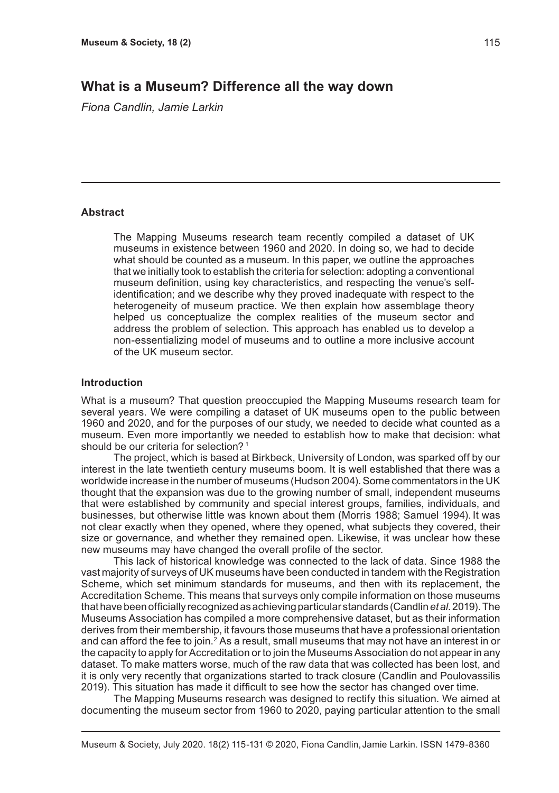## **What is a Museum? Difference all the way down**

*Fiona Candlin, Jamie Larkin*

#### **Abstract**

The Mapping Museums research team recently compiled a dataset of UK museums in existence between 1960 and 2020. In doing so, we had to decide what should be counted as a museum. In this paper, we outline the approaches that we initially took to establish the criteria for selection: adopting a conventional museum definition, using key characteristics, and respecting the venue's selfidentification; and we describe why they proved inadequate with respect to the heterogeneity of museum practice. We then explain how assemblage theory helped us conceptualize the complex realities of the museum sector and address the problem of selection. This approach has enabled us to develop a non-essentializing model of museums and to outline a more inclusive account of the UK museum sector.

#### **Introduction**

What is a museum? That question preoccupied the Mapping Museums research team for several years. We were compiling a dataset of UK museums open to the public between 1960 and 2020, and for the purposes of our study, we needed to decide what counted as a museum. Even more importantly we needed to establish how to make that decision: what should be our criteria for selection?<sup>1</sup>

The project, which is based at Birkbeck, University of London, was sparked off by our interest in the late twentieth century museums boom. It is well established that there was a worldwide increase in the number of museums (Hudson 2004). Some commentators in the UK thought that the expansion was due to the growing number of small, independent museums that were established by community and special interest groups, families, individuals, and businesses, but otherwise little was known about them (Morris 1988; Samuel 1994). It was not clear exactly when they opened, where they opened, what subjects they covered, their size or governance, and whether they remained open. Likewise, it was unclear how these new museums may have changed the overall profile of the sector.

This lack of historical knowledge was connected to the lack of data. Since 1988 the vast majority of surveys of UK museums have been conducted in tandem with the Registration Scheme, which set minimum standards for museums, and then with its replacement, the Accreditation Scheme. This means that surveys only compile information on those museums that have been officially recognized as achieving particular standards (Candlin *et al*. 2019). The Museums Association has compiled a more comprehensive dataset, but as their information derives from their membership, it favours those museums that have a professional orientation and can afford the fee to join. $2$  As a result, small museums that may not have an interest in or the capacity to apply for Accreditation or to join the Museums Association do not appear in any dataset. To make matters worse, much of the raw data that was collected has been lost, and it is only very recently that organizations started to track closure (Candlin and Poulovassilis 2019). This situation has made it difficult to see how the sector has changed over time.

The Mapping Museums research was designed to rectify this situation. We aimed at documenting the museum sector from 1960 to 2020, paying particular attention to the small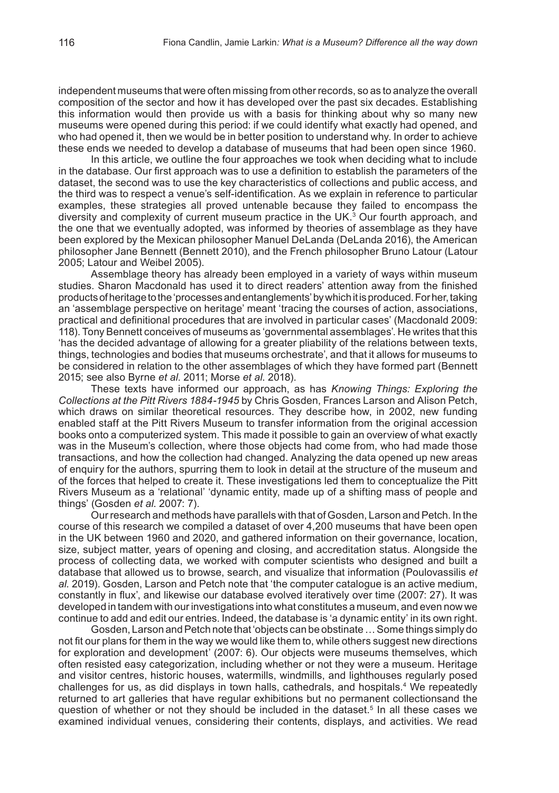independent museums that were often missing from other records, so as to analyze the overall composition of the sector and how it has developed over the past six decades. Establishing this information would then provide us with a basis for thinking about why so many new museums were opened during this period: if we could identify what exactly had opened, and who had opened it, then we would be in better position to understand why. In order to achieve these ends we needed to develop a database of museums that had been open since 1960.

In this article, we outline the four approaches we took when deciding what to include in the database. Our first approach was to use a definition to establish the parameters of the dataset, the second was to use the key characteristics of collections and public access, and the third was to respect a venue's self-identification. As we explain in reference to particular examples, these strategies all proved untenable because they failed to encompass the diversity and complexity of current museum practice in the UK.<sup>3</sup> Our fourth approach, and the one that we eventually adopted, was informed by theories of assemblage as they have been explored by the Mexican philosopher Manuel DeLanda (DeLanda 2016), the American philosopher Jane Bennett (Bennett 2010), and the French philosopher Bruno Latour (Latour 2005; Latour and Weibel 2005).

Assemblage theory has already been employed in a variety of ways within museum studies. Sharon Macdonald has used it to direct readers' attention away from the finished products of heritage to the 'processes and entanglements' by which it is produced. For her, taking an 'assemblage perspective on heritage' meant 'tracing the courses of action, associations, practical and definitional procedures that are involved in particular cases' (Macdonald 2009: 118). Tony Bennett conceives of museums as 'governmental assemblages'. He writes that this 'has the decided advantage of allowing for a greater pliability of the relations between texts, things, technologies and bodies that museums orchestrate', and that it allows for museums to be considered in relation to the other assemblages of which they have formed part (Bennett 2015; see also Byrne *et al*. 2011; Morse *et al*. 2018).

These texts have informed our approach, as has *Knowing Things: Exploring the Collections at the Pitt Rivers 1884-1945* by Chris Gosden, Frances Larson and Alison Petch, which draws on similar theoretical resources. They describe how, in 2002, new funding enabled staff at the Pitt Rivers Museum to transfer information from the original accession books onto a computerized system. This made it possible to gain an overview of what exactly was in the Museum's collection, where those objects had come from, who had made those transactions, and how the collection had changed. Analyzing the data opened up new areas of enquiry for the authors, spurring them to look in detail at the structure of the museum and of the forces that helped to create it. These investigations led them to conceptualize the Pitt Rivers Museum as a 'relational' 'dynamic entity, made up of a shifting mass of people and things' (Gosden *et al*. 2007: 7).

Our research and methods have parallels with that of Gosden, Larson and Petch. In the course of this research we compiled a dataset of over 4,200 museums that have been open in the UK between 1960 and 2020, and gathered information on their governance, location, size, subject matter, years of opening and closing, and accreditation status. Alongside the process of collecting data, we worked with computer scientists who designed and built a database that allowed us to browse, search, and visualize that information (Poulovassilis *et al.* 2019). Gosden, Larson and Petch note that 'the computer catalogue is an active medium, constantly in flux', and likewise our database evolved iteratively over time (2007: 27). It was developed in tandem with our investigations into what constitutes a museum, and even now we continue to add and edit our entries. Indeed, the database is 'a dynamic entity' in its own right.

Gosden, Larson and Petch note that 'objects can be obstinate … Some things simply do not fit our plans for them in the way we would like them to, while others suggest new directions for exploration and development' (2007: 6). Our objects were museums themselves, which often resisted easy categorization, including whether or not they were a museum. Heritage and visitor centres, historic houses, watermills, windmills, and lighthouses regularly posed challenges for us, as did displays in town halls, cathedrals, and hospitals.4 We repeatedly returned to art galleries that have regular exhibitions but no permanent collectionsand the question of whether or not they should be included in the dataset.<sup>5</sup> In all these cases we examined individual venues, considering their contents, displays, and activities. We read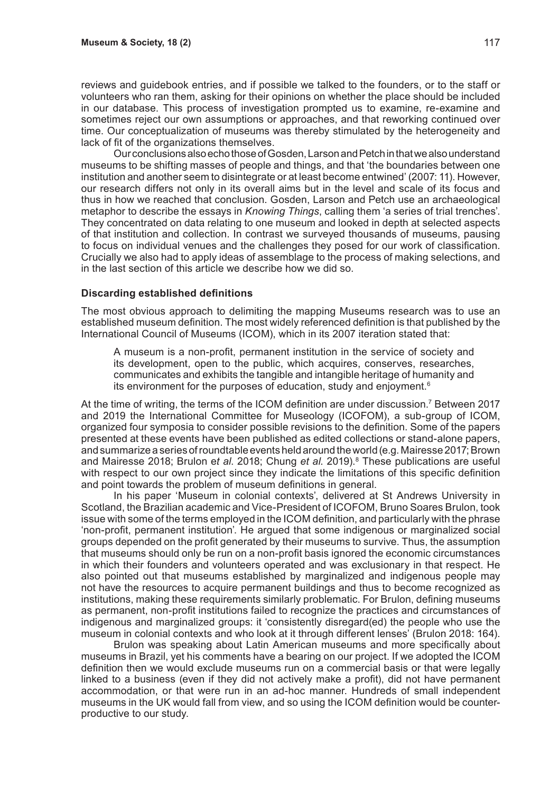reviews and guidebook entries, and if possible we talked to the founders, or to the staff or volunteers who ran them, asking for their opinions on whether the place should be included in our database. This process of investigation prompted us to examine, re-examine and sometimes reject our own assumptions or approaches, and that reworking continued over time. Our conceptualization of museums was thereby stimulated by the heterogeneity and lack of fit of the organizations themselves.

Our conclusions also echo those of Gosden, Larson and Petch in that we also understand museums to be shifting masses of people and things, and that 'the boundaries between one institution and another seem to disintegrate or at least become entwined' (2007: 11). However, our research differs not only in its overall aims but in the level and scale of its focus and thus in how we reached that conclusion. Gosden, Larson and Petch use an archaeological metaphor to describe the essays in *Knowing Things*, calling them 'a series of trial trenches'. They concentrated on data relating to one museum and looked in depth at selected aspects of that institution and collection. In contrast we surveyed thousands of museums, pausing to focus on individual venues and the challenges they posed for our work of classification. Crucially we also had to apply ideas of assemblage to the process of making selections, and in the last section of this article we describe how we did so.

#### **Discarding established definitions**

The most obvious approach to delimiting the mapping Museums research was to use an established museum definition. The most widely referenced definition is that published by the International Council of Museums (ICOM), which in its 2007 iteration stated that:

A museum is a non-profit, permanent institution in the service of society and its development, open to the public, which acquires, conserves, researches, communicates and exhibits the tangible and intangible heritage of humanity and its environment for the purposes of education, study and enjoyment.<sup>6</sup>

At the time of writing, the terms of the ICOM definition are under discussion.<sup>7</sup> Between 2017 and 2019 the International Committee for Museology (ICOFOM), a sub-group of ICOM, organized four symposia to consider possible revisions to the definition. Some of the papers presented at these events have been published as edited collections or stand-alone papers, and summarize a series of roundtable events held around the world (e.g. Mairesse 2017; Brown and Mairesse 2018; Brulon e*t al*. 2018; Chung *et al*. 2019).8 These publications are useful with respect to our own project since they indicate the limitations of this specific definition and point towards the problem of museum definitions in general.

In his paper 'Museum in colonial contexts', delivered at St Andrews University in Scotland, the Brazilian academic and Vice-President of ICOFOM, Bruno Soares Brulon, took issue with some of the terms employed in the ICOM definition, and particularly with the phrase 'non-profit, permanent institution'. He argued that some indigenous or marginalized social groups depended on the profit generated by their museums to survive. Thus, the assumption that museums should only be run on a non-profit basis ignored the economic circumstances in which their founders and volunteers operated and was exclusionary in that respect. He also pointed out that museums established by marginalized and indigenous people may not have the resources to acquire permanent buildings and thus to become recognized as institutions, making these requirements similarly problematic. For Brulon, defining museums as permanent, non-profit institutions failed to recognize the practices and circumstances of indigenous and marginalized groups: it 'consistently disregard(ed) the people who use the museum in colonial contexts and who look at it through different lenses' (Brulon 2018: 164).

Brulon was speaking about Latin American museums and more specifically about museums in Brazil, yet his comments have a bearing on our project. If we adopted the ICOM definition then we would exclude museums run on a commercial basis or that were legally linked to a business (even if they did not actively make a profit), did not have permanent accommodation, or that were run in an ad-hoc manner. Hundreds of small independent museums in the UK would fall from view, and so using the ICOM definition would be counterproductive to our study.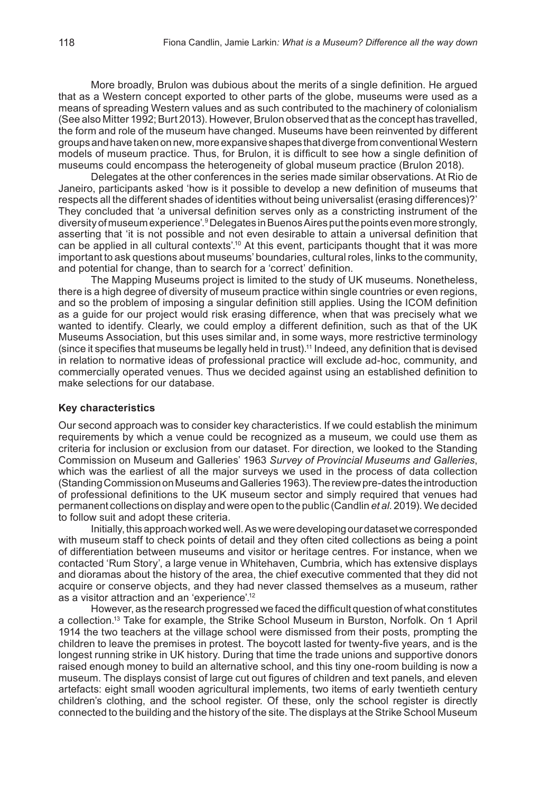More broadly, Brulon was dubious about the merits of a single definition. He argued that as a Western concept exported to other parts of the globe, museums were used as a means of spreading Western values and as such contributed to the machinery of colonialism (See also Mitter 1992; Burt 2013). However, Brulon observed that as the concept has travelled, the form and role of the museum have changed. Museums have been reinvented by different groups and have taken on new, more expansive shapes that diverge from conventional Western models of museum practice. Thus, for Brulon, it is difficult to see how a single definition of museums could encompass the heterogeneity of global museum practice (Brulon 2018).

Delegates at the other conferences in the series made similar observations. At Rio de Janeiro, participants asked 'how is it possible to develop a new definition of museums that respects all the different shades of identities without being universalist (erasing differences)?' They concluded that 'a universal definition serves only as a constricting instrument of the diversity of museum experience'.<sup>9</sup> Delegates in Buenos Aires put the points even more strongly, asserting that 'it is not possible and not even desirable to attain a universal definition that can be applied in all cultural contexts'.<sup>10</sup> At this event, participants thought that it was more important to ask questions about museums' boundaries, cultural roles, links to the community, and potential for change, than to search for a 'correct' definition.

The Mapping Museums project is limited to the study of UK museums. Nonetheless, there is a high degree of diversity of museum practice within single countries or even regions, and so the problem of imposing a singular definition still applies. Using the ICOM definition as a guide for our project would risk erasing difference, when that was precisely what we wanted to identify. Clearly, we could employ a different definition, such as that of the UK Museums Association, but this uses similar and, in some ways, more restrictive terminology (since it specifies that museums be legally held in trust).<sup>11</sup> Indeed, any definition that is devised in relation to normative ideas of professional practice will exclude ad-hoc, community, and commercially operated venues. Thus we decided against using an established definition to make selections for our database.

#### **Key characteristics**

Our second approach was to consider key characteristics. If we could establish the minimum requirements by which a venue could be recognized as a museum, we could use them as criteria for inclusion or exclusion from our dataset. For direction, we looked to the Standing Commission on Museum and Galleries' 1963 *Survey of Provincial Museums and Galleries*, which was the earliest of all the major surveys we used in the process of data collection (Standing Commission on Museums and Galleries 1963). The review pre-dates the introduction of professional definitions to the UK museum sector and simply required that venues had permanent collections on display and were open to the public (Candlin *et al*. 2019). We decided to follow suit and adopt these criteria.

Initially, this approach worked well. As we were developing our dataset we corresponded with museum staff to check points of detail and they often cited collections as being a point of differentiation between museums and visitor or heritage centres. For instance, when we contacted 'Rum Story', a large venue in Whitehaven, Cumbria, which has extensive displays and dioramas about the history of the area, the chief executive commented that they did not acquire or conserve objects, and they had never classed themselves as a museum, rather as a visitor attraction and an 'experience'.<sup>12</sup>

However, as the research progressed we faced the difficult question of what constitutes a collection.<sup>13</sup> Take for example, the Strike School Museum in Burston, Norfolk. On 1 April 1914 the two teachers at the village school were dismissed from their posts, prompting the children to leave the premises in protest. The boycott lasted for twenty-five years, and is the longest running strike in UK history. During that time the trade unions and supportive donors raised enough money to build an alternative school, and this tiny one-room building is now a museum. The displays consist of large cut out figures of children and text panels, and eleven artefacts: eight small wooden agricultural implements, two items of early twentieth century children's clothing, and the school register. Of these, only the school register is directly connected to the building and the history of the site. The displays at the Strike School Museum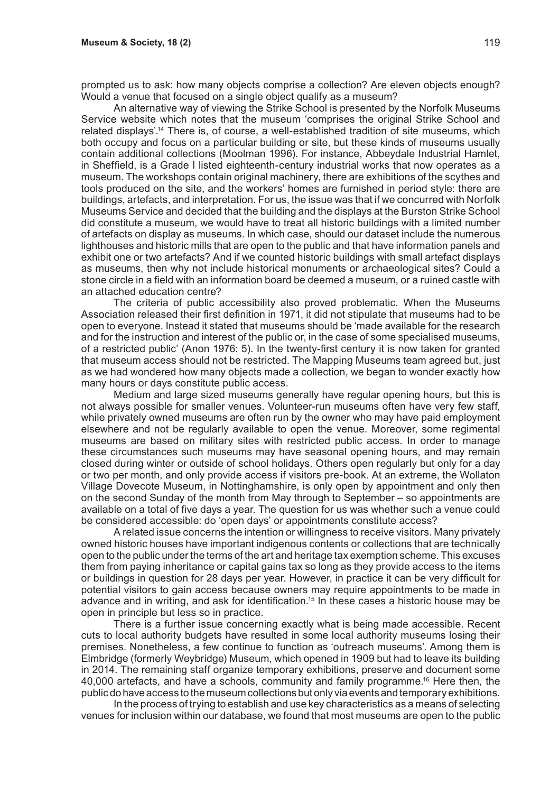prompted us to ask: how many objects comprise a collection? Are eleven objects enough? Would a venue that focused on a single object qualify as a museum?

An alternative way of viewing the Strike School is presented by the Norfolk Museums Service website which notes that the museum 'comprises the original Strike School and related displays'.<sup>14</sup> There is, of course, a well-established tradition of site museums, which both occupy and focus on a particular building or site, but these kinds of museums usually contain additional collections (Moolman 1996). For instance, Abbeydale Industrial Hamlet, in Sheffield, is a Grade I listed eighteenth-century industrial works that now operates as a museum. The workshops contain original machinery, there are exhibitions of the scythes and tools produced on the site, and the workers' homes are furnished in period style: there are buildings, artefacts, and interpretation. For us, the issue was that if we concurred with Norfolk Museums Service and decided that the building and the displays at the Burston Strike School did constitute a museum, we would have to treat all historic buildings with a limited number of artefacts on display as museums. In which case, should our dataset include the numerous lighthouses and historic mills that are open to the public and that have information panels and exhibit one or two artefacts? And if we counted historic buildings with small artefact displays as museums, then why not include historical monuments or archaeological sites? Could a stone circle in a field with an information board be deemed a museum, or a ruined castle with an attached education centre?

The criteria of public accessibility also proved problematic. When the Museums Association released their first definition in 1971, it did not stipulate that museums had to be open to everyone. Instead it stated that museums should be 'made available for the research and for the instruction and interest of the public or, in the case of some specialised museums, of a restricted public' (Anon 1976: 5). In the twenty-first century it is now taken for granted that museum access should not be restricted. The Mapping Museums team agreed but, just as we had wondered how many objects made a collection, we began to wonder exactly how many hours or days constitute public access.

Medium and large sized museums generally have regular opening hours, but this is not always possible for smaller venues. Volunteer-run museums often have very few staff, while privately owned museums are often run by the owner who may have paid employment elsewhere and not be regularly available to open the venue. Moreover, some regimental museums are based on military sites with restricted public access. In order to manage these circumstances such museums may have seasonal opening hours, and may remain closed during winter or outside of school holidays. Others open regularly but only for a day or two per month, and only provide access if visitors pre-book. At an extreme, the Wollaton Village Dovecote Museum, in Nottinghamshire, is only open by appointment and only then on the second Sunday of the month from May through to September – so appointments are available on a total of five days a year. The question for us was whether such a venue could be considered accessible: do 'open days' or appointments constitute access?

A related issue concerns the intention or willingness to receive visitors. Many privately owned historic houses have important indigenous contents or collections that are technically open to the public under the terms of the art and heritage tax exemption scheme. This excuses them from paying inheritance or capital gains tax so long as they provide access to the items or buildings in question for 28 days per year. However, in practice it can be very difficult for potential visitors to gain access because owners may require appointments to be made in advance and in writing, and ask for identification.15 In these cases a historic house may be open in principle but less so in practice.

There is a further issue concerning exactly what is being made accessible. Recent cuts to local authority budgets have resulted in some local authority museums losing their premises. Nonetheless, a few continue to function as 'outreach museums'. Among them is Elmbridge (formerly Weybridge) Museum, which opened in 1909 but had to leave its building in 2014. The remaining staff organize temporary exhibitions, preserve and document some 40,000 artefacts, and have a schools, community and family programme.16 Here then, the public do have access to the museum collections but only via events and temporary exhibitions.

In the process of trying to establish and use key characteristics as a means of selecting venues for inclusion within our database, we found that most museums are open to the public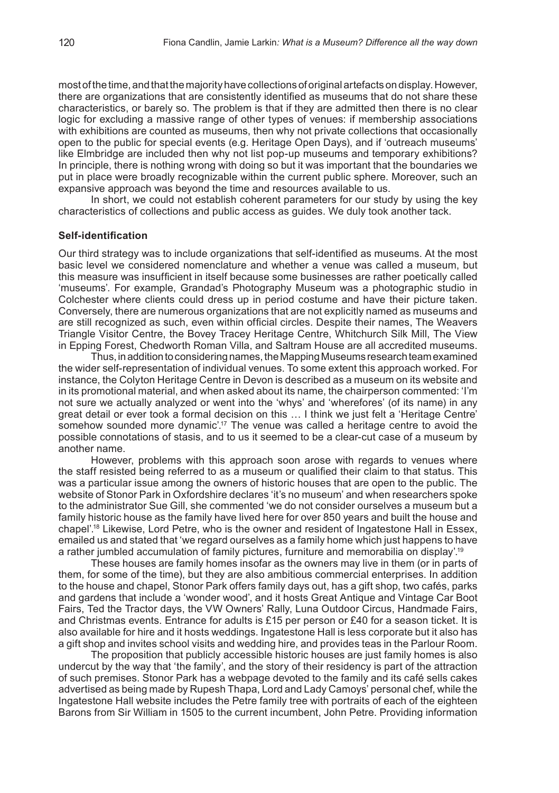most of the time, and that the majority have collections of original artefacts on display. However, there are organizations that are consistently identified as museums that do not share these characteristics, or barely so. The problem is that if they are admitted then there is no clear logic for excluding a massive range of other types of venues: if membership associations with exhibitions are counted as museums, then why not private collections that occasionally open to the public for special events (e.g. Heritage Open Days), and if 'outreach museums' like Elmbridge are included then why not list pop-up museums and temporary exhibitions? In principle, there is nothing wrong with doing so but it was important that the boundaries we put in place were broadly recognizable within the current public sphere. Moreover, such an expansive approach was beyond the time and resources available to us.

In short, we could not establish coherent parameters for our study by using the key characteristics of collections and public access as guides. We duly took another tack.

#### **Self-identification**

Our third strategy was to include organizations that self-identified as museums. At the most basic level we considered nomenclature and whether a venue was called a museum, but this measure was insufficient in itself because some businesses are rather poetically called 'museums'. For example, Grandad's Photography Museum was a photographic studio in Colchester where clients could dress up in period costume and have their picture taken. Conversely, there are numerous organizations that are not explicitly named as museums and are still recognized as such, even within official circles. Despite their names, The Weavers Triangle Visitor Centre, the Bovey Tracey Heritage Centre, Whitchurch Silk Mill, The View in Epping Forest, Chedworth Roman Villa, and Saltram House are all accredited museums.

Thus, in addition to considering names, the Mapping Museums research team examined the wider self-representation of individual venues. To some extent this approach worked. For instance, the Colyton Heritage Centre in Devon is described as a museum on its website and in its promotional material, and when asked about its name, the chairperson commented: 'I'm not sure we actually analyzed or went into the 'whys' and 'wherefores' (of its name) in any great detail or ever took a formal decision on this … I think we just felt a 'Heritage Centre' somehow sounded more dynamic'.17 The venue was called a heritage centre to avoid the possible connotations of stasis, and to us it seemed to be a clear-cut case of a museum by another name.

However, problems with this approach soon arose with regards to venues where the staff resisted being referred to as a museum or qualified their claim to that status. This was a particular issue among the owners of historic houses that are open to the public. The website of Stonor Park in Oxfordshire declares 'it's no museum' and when researchers spoke to the administrator Sue Gill, she commented 'we do not consider ourselves a museum but a family historic house as the family have lived here for over 850 years and built the house and chapel'.<sup>18</sup> Likewise, Lord Petre, who is the owner and resident of Ingatestone Hall in Essex, emailed us and stated that 'we regard ourselves as a family home which just happens to have a rather jumbled accumulation of family pictures, furniture and memorabilia on display'.<sup>19</sup>

These houses are family homes insofar as the owners may live in them (or in parts of them, for some of the time), but they are also ambitious commercial enterprises. In addition to the house and chapel, Stonor Park offers family days out, has a gift shop, two cafés, parks and gardens that include a 'wonder wood', and it hosts Great Antique and Vintage Car Boot Fairs, Ted the Tractor days, the VW Owners' Rally, Luna Outdoor Circus, Handmade Fairs, and Christmas events. Entrance for adults is £15 per person or £40 for a season ticket. It is also available for hire and it hosts weddings. Ingatestone Hall is less corporate but it also has a gift shop and invites school visits and wedding hire, and provides teas in the Parlour Room.

The proposition that publicly accessible historic houses are just family homes is also undercut by the way that 'the family', and the story of their residency is part of the attraction of such premises. Stonor Park has a webpage devoted to the family and its café sells cakes advertised as being made by Rupesh Thapa, Lord and Lady Camoys' personal chef, while the Ingatestone Hall website includes the Petre family tree with portraits of each of the eighteen Barons from Sir William in 1505 to the current incumbent, John Petre. Providing information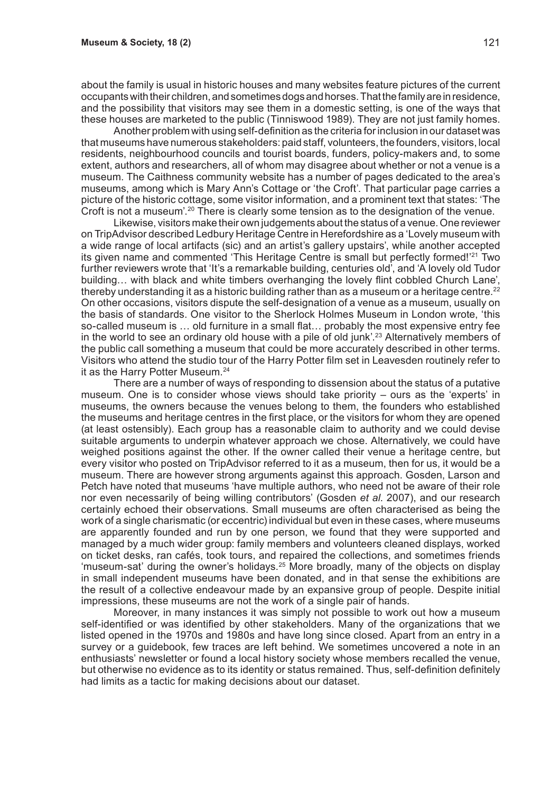about the family is usual in historic houses and many websites feature pictures of the current occupants with their children, and sometimes dogs and horses. That the family are in residence, and the possibility that visitors may see them in a domestic setting, is one of the ways that these houses are marketed to the public (Tinniswood 1989). They are not just family homes.

Another problem with using self-definition as the criteria for inclusion in our dataset was that museums have numerous stakeholders: paid staff, volunteers, the founders, visitors, local residents, neighbourhood councils and tourist boards, funders, policy-makers and, to some extent, authors and researchers, all of whom may disagree about whether or not a venue is a museum. The Caithness community website has a number of pages dedicated to the area's museums, among which is Mary Ann's Cottage or 'the Croft'. That particular page carries a picture of the historic cottage, some visitor information, and a prominent text that states: 'The Croft is not a museum'.20 There is clearly some tension as to the designation of the venue.

Likewise, visitors make their own judgements about the status of a venue. One reviewer on TripAdvisor described Ledbury Heritage Centre in Herefordshire as a 'Lovely museum with a wide range of local artifacts (sic) and an artist's gallery upstairs', while another accepted its given name and commented 'This Heritage Centre is small but perfectly formed!'21 Two further reviewers wrote that 'It's a remarkable building, centuries old', and 'A lovely old Tudor building... with black and white timbers overhanging the lovely flint cobbled Church Lane'. thereby understanding it as a historic building rather than as a museum or a heritage centre.<sup>22</sup> On other occasions, visitors dispute the self-designation of a venue as a museum, usually on the basis of standards. One visitor to the Sherlock Holmes Museum in London wrote, 'this so-called museum is … old furniture in a small flat… probably the most expensive entry fee in the world to see an ordinary old house with a pile of old junk'.23 Alternatively members of the public call something a museum that could be more accurately described in other terms. Visitors who attend the studio tour of the Harry Potter film set in Leavesden routinely refer to it as the Harry Potter Museum.<sup>24</sup>

There are a number of ways of responding to dissension about the status of a putative museum. One is to consider whose views should take priority – ours as the 'experts' in museums, the owners because the venues belong to them, the founders who established the museums and heritage centres in the first place, or the visitors for whom they are opened (at least ostensibly). Each group has a reasonable claim to authority and we could devise suitable arguments to underpin whatever approach we chose. Alternatively, we could have weighed positions against the other. If the owner called their venue a heritage centre, but every visitor who posted on TripAdvisor referred to it as a museum, then for us, it would be a museum. There are however strong arguments against this approach. Gosden, Larson and Petch have noted that museums 'have multiple authors, who need not be aware of their role nor even necessarily of being willing contributors' (Gosden *et al*. 2007), and our research certainly echoed their observations. Small museums are often characterised as being the work of a single charismatic (or eccentric) individual but even in these cases, where museums are apparently founded and run by one person, we found that they were supported and managed by a much wider group: family members and volunteers cleaned displays, worked on ticket desks, ran cafés, took tours, and repaired the collections, and sometimes friends 'museum-sat' during the owner's holidays.25 More broadly, many of the objects on display in small independent museums have been donated, and in that sense the exhibitions are the result of a collective endeavour made by an expansive group of people. Despite initial impressions, these museums are not the work of a single pair of hands.

Moreover, in many instances it was simply not possible to work out how a museum self-identified or was identified by other stakeholders. Many of the organizations that we listed opened in the 1970s and 1980s and have long since closed. Apart from an entry in a survey or a guidebook, few traces are left behind. We sometimes uncovered a note in an enthusiasts' newsletter or found a local history society whose members recalled the venue, but otherwise no evidence as to its identity or status remained. Thus, self-definition definitely had limits as a tactic for making decisions about our dataset.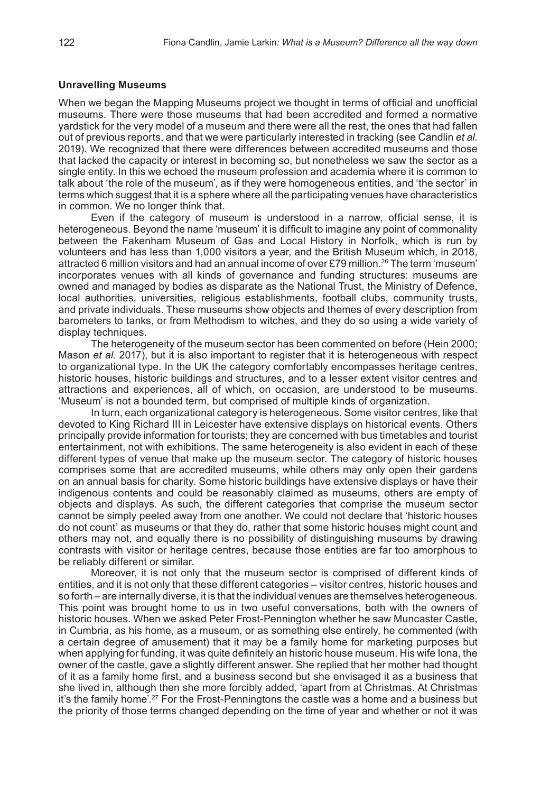#### **Unravelling Museums**

When we began the Mapping Museums project we thought in terms of official and unofficial museums. There were those museums that had been accredited and formed a normative yardstick for the very model of a museum and there were all the rest, the ones that had fallen out of previous reports, and that we were particularly interested in tracking (see Candlin *et al*. 2019). We recognized that there were differences between accredited museums and those that lacked the capacity or interest in becoming so, but nonetheless we saw the sector as a single entity. In this we echoed the museum profession and academia where it is common to talk about 'the role of the museum', as if they were homogeneous entities, and 'the sector' in terms which suggest that it is a sphere where all the participating venues have characteristics in common. We no longer think that.

Even if the category of museum is understood in a narrow, official sense, it is heterogeneous. Beyond the name 'museum' it is difficult to imagine any point of commonality between the Fakenham Museum of Gas and Local History in Norfolk, which is run by volunteers and has less than 1,000 visitors a year, and the British Museum which, in 2018, attracted 6 million visitors and had an annual income of over £79 million.26 The term 'museum' incorporates venues with all kinds of governance and funding structures: museums are owned and managed by bodies as disparate as the National Trust, the Ministry of Defence, local authorities, universities, religious establishments, football clubs, community trusts, and private individuals. These museums show objects and themes of every description from barometers to tanks, or from Methodism to witches, and they do so using a wide variety of display techniques.

The heterogeneity of the museum sector has been commented on before (Hein 2000; Mason *et al*. 2017), but it is also important to register that it is heterogeneous with respect to organizational type. In the UK the category comfortably encompasses heritage centres, historic houses, historic buildings and structures, and to a lesser extent visitor centres and attractions and experiences, all of which, on occasion, are understood to be museums. 'Museum' is not a bounded term, but comprised of multiple kinds of organization.

In turn, each organizational category is heterogeneous. Some visitor centres, like that devoted to King Richard III in Leicester have extensive displays on historical events. Others principally provide information for tourists; they are concerned with bus timetables and tourist entertainment, not with exhibitions. The same heterogeneity is also evident in each of these different types of venue that make up the museum sector. The category of historic houses comprises some that are accredited museums, while others may only open their gardens on an annual basis for charity. Some historic buildings have extensive displays or have their indigenous contents and could be reasonably claimed as museums, others are empty of objects and displays. As such, the different categories that comprise the museum sector cannot be simply peeled away from one another. We could not declare that 'historic houses do not count' as museums or that they do, rather that some historic houses might count and others may not, and equally there is no possibility of distinguishing museums by drawing contrasts with visitor or heritage centres, because those entities are far too amorphous to be reliably different or similar.

Moreover, it is not only that the museum sector is comprised of different kinds of entities, and it is not only that these different categories – visitor centres, historic houses and so forth – are internally diverse, it is that the individual venues are themselves heterogeneous. This point was brought home to us in two useful conversations, both with the owners of historic houses. When we asked Peter Frost-Pennington whether he saw Muncaster Castle, in Cumbria, as his home, as a museum, or as something else entirely, he commented (with a certain degree of amusement) that it may be a family home for marketing purposes but when applying for funding, it was quite definitely an historic house museum. His wife Iona, the owner of the castle, gave a slightly different answer. She replied that her mother had thought of it as a family home first, and a business second but she envisaged it as a business that she lived in, although then she more forcibly added, 'apart from at Christmas. At Christmas it's the family home'.<sup>27</sup> For the Frost-Penningtons the castle was a home and a business but the priority of those terms changed depending on the time of year and whether or not it was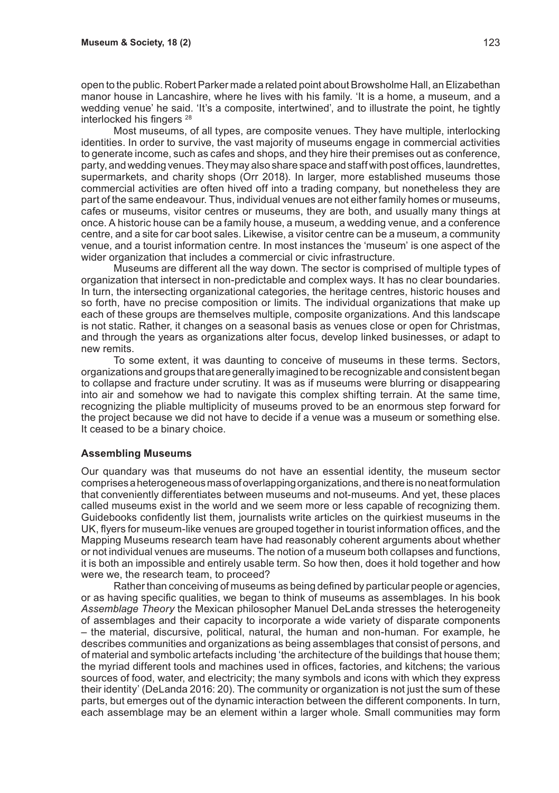open to the public. Robert Parker made a related point about Browsholme Hall, an Elizabethan manor house in Lancashire, where he lives with his family. 'It is a home, a museum, and a wedding venue' he said. 'It's a composite, intertwined', and to illustrate the point, he tightly interlocked his fingers 28

Most museums, of all types, are composite venues. They have multiple, interlocking identities. In order to survive, the vast majority of museums engage in commercial activities to generate income, such as cafes and shops, and they hire their premises out as conference, party, and wedding venues. They may also share space and staff with post offices, laundrettes, supermarkets, and charity shops (Orr 2018). In larger, more established museums those commercial activities are often hived off into a trading company, but nonetheless they are part of the same endeavour. Thus, individual venues are not either family homes or museums, cafes or museums, visitor centres or museums, they are both, and usually many things at once. A historic house can be a family house, a museum, a wedding venue, and a conference centre, and a site for car boot sales. Likewise, a visitor centre can be a museum, a community venue, and a tourist information centre. In most instances the 'museum' is one aspect of the wider organization that includes a commercial or civic infrastructure.

Museums are different all the way down. The sector is comprised of multiple types of organization that intersect in non-predictable and complex ways. It has no clear boundaries. In turn, the intersecting organizational categories, the heritage centres, historic houses and so forth, have no precise composition or limits. The individual organizations that make up each of these groups are themselves multiple, composite organizations. And this landscape is not static. Rather, it changes on a seasonal basis as venues close or open for Christmas, and through the years as organizations alter focus, develop linked businesses, or adapt to new remits.

To some extent, it was daunting to conceive of museums in these terms. Sectors, organizations and groups that are generally imagined to be recognizable and consistent began to collapse and fracture under scrutiny. It was as if museums were blurring or disappearing into air and somehow we had to navigate this complex shifting terrain. At the same time, recognizing the pliable multiplicity of museums proved to be an enormous step forward for the project because we did not have to decide if a venue was a museum or something else. It ceased to be a binary choice.

#### **Assembling Museums**

Our quandary was that museums do not have an essential identity, the museum sector comprises a heterogeneous mass of overlapping organizations, and there is no neat formulation that conveniently differentiates between museums and not-museums. And yet, these places called museums exist in the world and we seem more or less capable of recognizing them. Guidebooks confidently list them, journalists write articles on the quirkiest museums in the UK, flyers for museum-like venues are grouped together in tourist information offices, and the Mapping Museums research team have had reasonably coherent arguments about whether or not individual venues are museums. The notion of a museum both collapses and functions, it is both an impossible and entirely usable term. So how then, does it hold together and how were we, the research team, to proceed?

Rather than conceiving of museums as being defined by particular people or agencies, or as having specific qualities, we began to think of museums as assemblages. In his book *Assemblage Theory* the Mexican philosopher Manuel DeLanda stresses the heterogeneity of assemblages and their capacity to incorporate a wide variety of disparate components – the material, discursive, political, natural, the human and non-human. For example, he describes communities and organizations as being assemblages that consist of persons, and of material and symbolic artefacts including 'the architecture of the buildings that house them; the myriad different tools and machines used in offices, factories, and kitchens; the various sources of food, water, and electricity; the many symbols and icons with which they express their identity' (DeLanda 2016: 20). The community or organization is not just the sum of these parts, but emerges out of the dynamic interaction between the different components. In turn, each assemblage may be an element within a larger whole. Small communities may form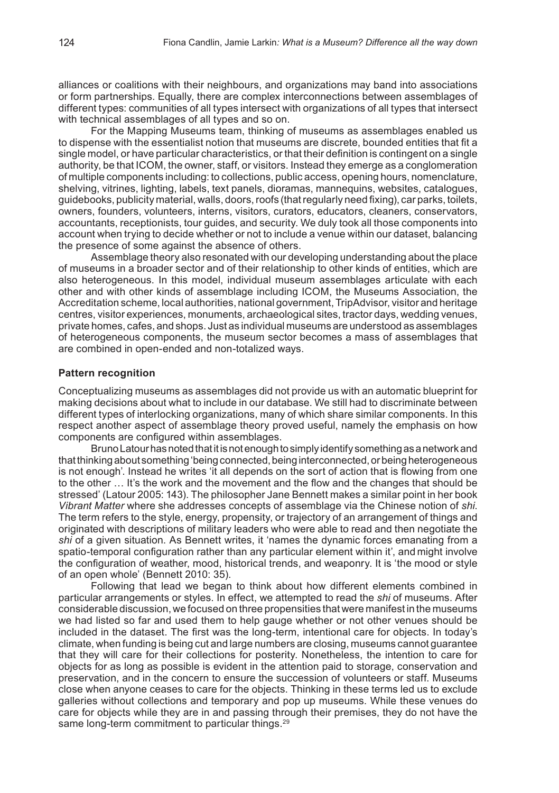alliances or coalitions with their neighbours, and organizations may band into associations or form partnerships. Equally, there are complex interconnections between assemblages of different types: communities of all types intersect with organizations of all types that intersect with technical assemblages of all types and so on.

For the Mapping Museums team, thinking of museums as assemblages enabled us to dispense with the essentialist notion that museums are discrete, bounded entities that fit a single model, or have particular characteristics, or that their definition is contingent on a single authority, be that ICOM, the owner, staff, or visitors. Instead they emerge as a conglomeration of multiple components including: to collections, public access, opening hours, nomenclature, shelving, vitrines, lighting, labels, text panels, dioramas, mannequins, websites, catalogues, guidebooks, publicity material, walls, doors, roofs (that regularly need fixing), car parks, toilets, owners, founders, volunteers, interns, visitors, curators, educators, cleaners, conservators, accountants, receptionists, tour guides, and security. We duly took all those components into account when trying to decide whether or not to include a venue within our dataset, balancing the presence of some against the absence of others.

Assemblage theory also resonated with our developing understanding about the place of museums in a broader sector and of their relationship to other kinds of entities, which are also heterogeneous. In this model, individual museum assemblages articulate with each other and with other kinds of assemblage including ICOM, the Museums Association, the Accreditation scheme, local authorities, national government, TripAdvisor, visitor and heritage centres, visitor experiences, monuments, archaeological sites, tractor days, wedding venues, private homes, cafes, and shops. Just as individual museums are understood as assemblages of heterogeneous components, the museum sector becomes a mass of assemblages that are combined in open-ended and non-totalized ways.

#### **Pattern recognition**

Conceptualizing museums as assemblages did not provide us with an automatic blueprint for making decisions about what to include in our database. We still had to discriminate between different types of interlocking organizations, many of which share similar components. In this respect another aspect of assemblage theory proved useful, namely the emphasis on how components are configured within assemblages.

Bruno Latour has noted that it is not enough to simply identify something as a network and that thinking about something 'being connected, being interconnected, or being heterogeneous is not enough'. Instead he writes 'it all depends on the sort of action that is flowing from one to the other … It's the work and the movement and the flow and the changes that should be stressed' (Latour 2005: 143). The philosopher Jane Bennett makes a similar point in her book *Vibrant Matter* where she addresses concepts of assemblage via the Chinese notion of *shi*. The term refers to the style, energy, propensity, or trajectory of an arrangement of things and originated with descriptions of military leaders who were able to read and then negotiate the *shi* of a given situation. As Bennett writes, it 'names the dynamic forces emanating from a spatio-temporal configuration rather than any particular element within it', and might involve the configuration of weather, mood, historical trends, and weaponry. It is 'the mood or style of an open whole' (Bennett 2010: 35).

Following that lead we began to think about how different elements combined in particular arrangements or styles. In effect, we attempted to read the *shi* of museums. After considerable discussion, we focused on three propensities that were manifest in the museums we had listed so far and used them to help gauge whether or not other venues should be included in the dataset. The first was the long-term, intentional care for objects. In today's climate, when funding is being cut and large numbers are closing, museums cannot guarantee that they will care for their collections for posterity. Nonetheless, the intention to care for objects for as long as possible is evident in the attention paid to storage, conservation and preservation, and in the concern to ensure the succession of volunteers or staff. Museums close when anyone ceases to care for the objects. Thinking in these terms led us to exclude galleries without collections and temporary and pop up museums. While these venues do care for objects while they are in and passing through their premises, they do not have the same long-term commitment to particular things.<sup>29</sup>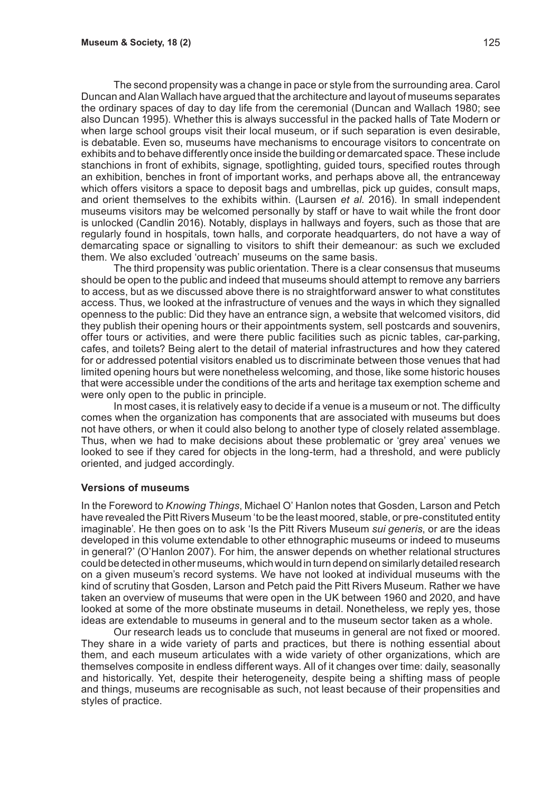The second propensity was a change in pace or style from the surrounding area. Carol Duncan and Alan Wallach have argued that the architecture and layout of museums separates the ordinary spaces of day to day life from the ceremonial (Duncan and Wallach 1980; see also Duncan 1995). Whether this is always successful in the packed halls of Tate Modern or when large school groups visit their local museum, or if such separation is even desirable. is debatable. Even so, museums have mechanisms to encourage visitors to concentrate on exhibits and to behave differently once inside the building or demarcated space. These include stanchions in front of exhibits, signage, spotlighting, guided tours, specified routes through an exhibition, benches in front of important works, and perhaps above all, the entranceway which offers visitors a space to deposit bags and umbrellas, pick up quides, consult maps, and orient themselves to the exhibits within. (Laursen *et al*. 2016). In small independent museums visitors may be welcomed personally by staff or have to wait while the front door is unlocked (Candlin 2016). Notably, displays in hallways and foyers, such as those that are regularly found in hospitals, town halls, and corporate headquarters, do not have a way of demarcating space or signalling to visitors to shift their demeanour: as such we excluded them. We also excluded 'outreach' museums on the same basis.

The third propensity was public orientation. There is a clear consensus that museums should be open to the public and indeed that museums should attempt to remove any barriers to access, but as we discussed above there is no straightforward answer to what constitutes access. Thus, we looked at the infrastructure of venues and the ways in which they signalled openness to the public: Did they have an entrance sign, a website that welcomed visitors, did they publish their opening hours or their appointments system, sell postcards and souvenirs, offer tours or activities, and were there public facilities such as picnic tables, car-parking, cafes, and toilets? Being alert to the detail of material infrastructures and how they catered for or addressed potential visitors enabled us to discriminate between those venues that had limited opening hours but were nonetheless welcoming, and those, like some historic houses that were accessible under the conditions of the arts and heritage tax exemption scheme and were only open to the public in principle.

In most cases, it is relatively easy to decide if a venue is a museum or not. The difficulty comes when the organization has components that are associated with museums but does not have others, or when it could also belong to another type of closely related assemblage. Thus, when we had to make decisions about these problematic or 'grey area' venues we looked to see if they cared for objects in the long-term, had a threshold, and were publicly oriented, and judged accordingly.

#### **Versions of museums**

In the Foreword to *Knowing Things*, Michael O' Hanlon notes that Gosden, Larson and Petch have revealed the Pitt Rivers Museum 'to be the least moored, stable, or pre-constituted entity imaginable'. He then goes on to ask 'Is the Pitt Rivers Museum *sui generis*, or are the ideas developed in this volume extendable to other ethnographic museums or indeed to museums in general?' (O'Hanlon 2007). For him, the answer depends on whether relational structures could be detected in other museums, which would in turn depend on similarly detailed research on a given museum's record systems. We have not looked at individual museums with the kind of scrutiny that Gosden, Larson and Petch paid the Pitt Rivers Museum. Rather we have taken an overview of museums that were open in the UK between 1960 and 2020, and have looked at some of the more obstinate museums in detail. Nonetheless, we reply yes, those ideas are extendable to museums in general and to the museum sector taken as a whole.

Our research leads us to conclude that museums in general are not fixed or moored. They share in a wide variety of parts and practices, but there is nothing essential about them, and each museum articulates with a wide variety of other organizations, which are themselves composite in endless different ways. All of it changes over time: daily, seasonally and historically. Yet, despite their heterogeneity, despite being a shifting mass of people and things, museums are recognisable as such, not least because of their propensities and styles of practice.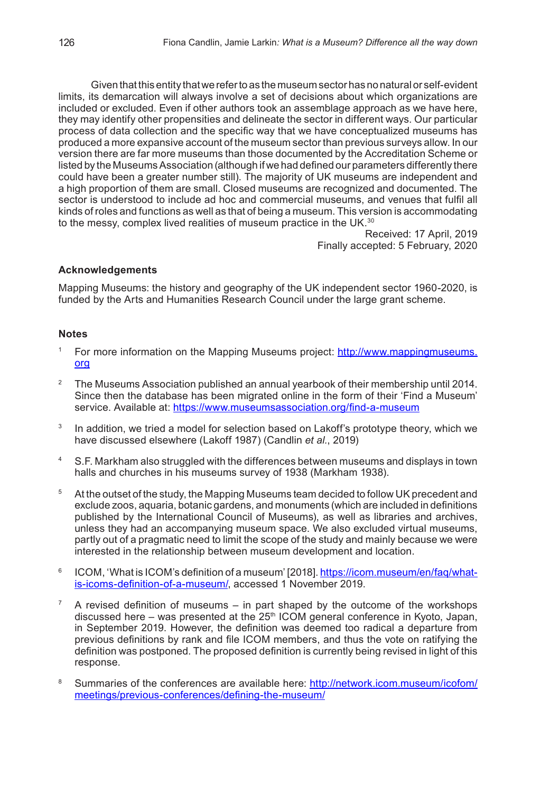Given that this entity that we refer to as the museum sector has no natural or self-evident limits, its demarcation will always involve a set of decisions about which organizations are included or excluded. Even if other authors took an assemblage approach as we have here, they may identify other propensities and delineate the sector in different ways. Our particular process of data collection and the specific way that we have conceptualized museums has produced a more expansive account of the museum sector than previous surveys allow. In our version there are far more museums than those documented by the Accreditation Scheme or listed by the Museums Association (although if we had defined our parameters differently there could have been a greater number still). The majority of UK museums are independent and a high proportion of them are small. Closed museums are recognized and documented. The sector is understood to include ad hoc and commercial museums, and venues that fulfil all kinds of roles and functions as well as that of being a museum. This version is accommodating to the messy, complex lived realities of museum practice in the UK.<sup>30</sup>

Received: 17 April, 2019 Finally accepted: 5 February, 2020

#### **Acknowledgements**

Mapping Museums: the history and geography of the UK independent sector 1960-2020, is funded by the Arts and Humanities Research Council under the large grant scheme.

#### **Notes**

- <sup>1</sup> For more information on the Mapping Museums project: http://www.mappingmuseums. org
- <sup>2</sup> The Museums Association published an annual yearbook of their membership until 2014. Since then the database has been migrated online in the form of their 'Find a Museum' service. Available at: https://www.museumsassociation.org/find-a-museum
- <sup>3</sup> In addition, we tried a model for selection based on Lakoff's prototype theory, which we have discussed elsewhere (Lakoff 1987) (Candlin *et al.*, 2019)
- <sup>4</sup> S.F. Markham also struggled with the differences between museums and displays in town halls and churches in his museums survey of 1938 (Markham 1938).
- <sup>5</sup> At the outset of the study, the Mapping Museums team decided to follow UK precedent and exclude zoos, aquaria, botanic gardens, and monuments (which are included in definitions published by the International Council of Museums), as well as libraries and archives, unless they had an accompanying museum space. We also excluded virtual museums, partly out of a pragmatic need to limit the scope of the study and mainly because we were interested in the relationship between museum development and location.
- <sup>6</sup> ICOM, 'What is ICOM's definition of a museum' [2018]. https://icom.museum/en/faq/whatis-icoms-definition-of-a-museum/, accessed 1 November 2019.
- A revised definition of museums  $-$  in part shaped by the outcome of the workshops discussed here – was presented at the  $25<sup>th</sup>$  ICOM general conference in Kyoto, Japan, in September 2019. However, the definition was deemed too radical a departure from previous definitions by rank and file ICOM members, and thus the vote on ratifying the definition was postponed. The proposed definition is currently being revised in light of this response.
- 8 Summaries of the conferences are available here: http://network.icom.museum/icofom/ meetings/previous-conferences/defining-the-museum/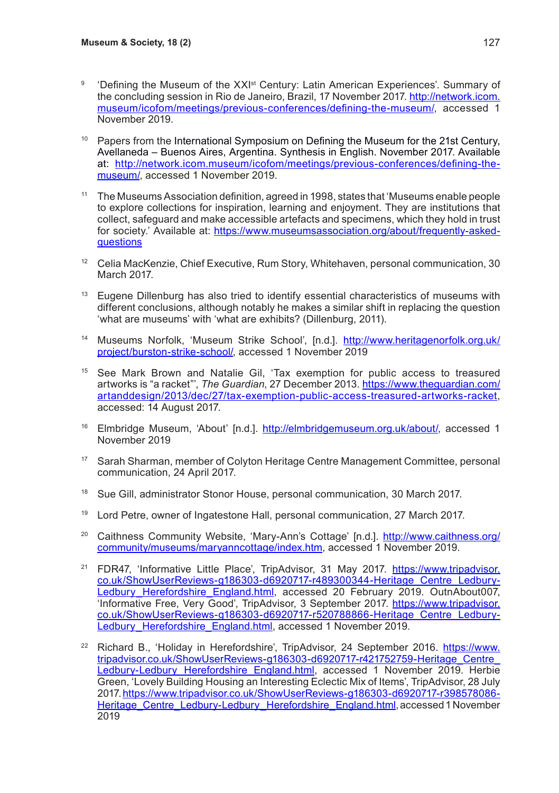- <sup>9</sup> 'Defining the Museum of the XXI<sup>st</sup> Century: Latin American Experiences'. Summary of the concluding session in Rio de Janeiro, Brazil, 17 November 2017. http://network.icom. museum/icofom/meetings/previous-conferences/defining-the-museum/, accessed 1 November 2019.
- <sup>10</sup> Papers from the International Symposium on Defining the Museum for the 21st Century, Avellaneda – Buenos Aires, Argentina. Synthesis in English. November 2017. Available at: http://network.icom.museum/icofom/meetings/previous-conferences/defining-themuseum/, accessed 1 November 2019.
- <sup>11</sup> The Museums Association definition, agreed in 1998, states that 'Museums enable people to explore collections for inspiration, learning and enjoyment. They are institutions that collect, safeguard and make accessible artefacts and specimens, which they hold in trust for society.' Available at: https://www.museumsassociation.org/about/frequently-askedquestions
- <sup>12</sup> Celia MacKenzie, Chief Executive, Rum Story, Whitehaven, personal communication, 30 March 2017.
- <sup>13</sup> Eugene Dillenburg has also tried to identify essential characteristics of museums with different conclusions, although notably he makes a similar shift in replacing the question 'what are museums' with 'what are exhibits? (Dillenburg, 2011).
- <sup>14</sup> Museums Norfolk, 'Museum Strike School', [n.d.]. http://www.heritagenorfolk.org.uk/ project/burston-strike-school/, accessed 1 November 2019
- <sup>15</sup> See Mark Brown and Natalie Gil, 'Tax exemption for public access to treasured artworks is "a racket"', *The Guardian*, 27 December 2013. https://www.theguardian.com/ artanddesign/2013/dec/27/tax-exemption-public-access-treasured-artworks-racket, accessed: 14 August 2017.
- <sup>16</sup> Elmbridge Museum, 'About' [n.d.]. http://elmbridgemuseum.org.uk/about/, accessed 1 November 2019
- <sup>17</sup> Sarah Sharman, member of Colyton Heritage Centre Management Committee, personal communication, 24 April 2017.
- <sup>18</sup> Sue Gill, administrator Stonor House, personal communication, 30 March 2017.
- <sup>19</sup> Lord Petre, owner of Ingatestone Hall, personal communication, 27 March 2017.
- <sup>20</sup> Caithness Community Website, 'Mary-Ann's Cottage' [n.d.]. http://www.caithness.org/ community/museums/maryanncottage/index.htm, accessed 1 November 2019.
- <sup>21</sup> FDR47, 'Informative Little Place', TripAdvisor, 31 May 2017. https://www.tripadvisor. co.uk/ShowUserReviews-g186303-d6920717-r489300344-Heritage\_Centre\_Ledbury-Ledbury Herefordshire\_England.html, accessed 20 February 2019. OutnAbout007, 'Informative Free, Very Good', TripAdvisor, 3 September 2017. https://www.tripadvisor. co.uk/ShowUserReviews-g186303-d6920717-r520788866-Heritage\_Centre\_Ledbury-Ledbury Herefordshire England.html, accessed 1 November 2019.
- <sup>22</sup> Richard B., 'Holiday in Herefordshire', TripAdvisor, 24 September 2016. https://www. tripadvisor.co.uk/ShowUserReviews-g186303-d6920717-r421752759-Heritage\_Centre\_ Ledbury-Ledbury Herefordshire England.html, accessed 1 November 2019. Herbie Green, 'Lovely Building Housing an Interesting Eclectic Mix of Items', TripAdvisor, 28 July 2017. https://www.tripadvisor.co.uk/ShowUserReviews-g186303-d6920717-r398578086- Heritage\_Centre\_Ledbury-Ledbury\_Herefordshire\_England.html, accessed 1 November 2019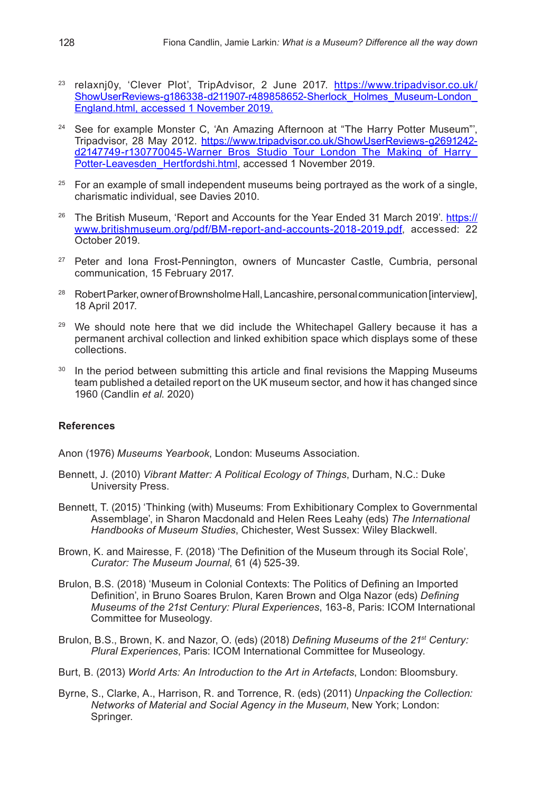- <sup>23</sup> relaxnj0y, 'Clever Plot', TripAdvisor, 2 June 2017. https://www.tripadvisor.co.uk/ ShowUserReviews-g186338-d211907-r489858652-Sherlock\_Holmes\_Museum-London England.html, accessed 1 November 2019.
- <sup>24</sup> See for example Monster C, 'An Amazing Afternoon at "The Harry Potter Museum"', Tripadvisor, 28 May 2012. https://www.tripadvisor.co.uk/ShowUserReviews-g2691242 d2147749-r130770045-Warner\_Bros\_Studio\_Tour\_London\_The\_Making\_of\_Harry\_ Potter-Leavesden\_Hertfordshi.html, accessed 1 November 2019.
- $25$  For an example of small independent museums being portraved as the work of a single. charismatic individual, see Davies 2010.
- <sup>26</sup> The British Museum, 'Report and Accounts for the Year Ended 31 March 2019'. https:// www.britishmuseum.org/pdf/BM-report-and-accounts-2018-2019.pdf, accessed: 22 October 2019.
- <sup>27</sup> Peter and Iona Frost-Pennington, owners of Muncaster Castle, Cumbria, personal communication, 15 February 2017.
- <sup>28</sup> Robert Parker, owner of Brownsholme Hall, Lancashire, personal communication [interview], 18 April 2017.
- $29$  We should note here that we did include the Whitechapel Gallery because it has a permanent archival collection and linked exhibition space which displays some of these collections.
- <sup>30</sup> In the period between submitting this article and final revisions the Mapping Museums team published a detailed report on the UK museum sector, and how it has changed since 1960 (Candlin *et al*. 2020)

#### **References**

Anon (1976) *Museums Yearbook*, London: Museums Association.

- Bennett, J. (2010) *Vibrant Matter: A Political Ecology of Things*, Durham, N.C.: Duke University Press.
- Bennett, T. (2015) 'Thinking (with) Museums: From Exhibitionary Complex to Governmental Assemblage', in Sharon Macdonald and Helen Rees Leahy (eds) *The International Handbooks of Museum Studies*, Chichester, West Sussex: Wiley Blackwell.
- Brown, K. and Mairesse, F. (2018) 'The Definition of the Museum through its Social Role', *Curator: The Museum Journal*, 61 (4) 525-39.
- Brulon, B.S. (2018) 'Museum in Colonial Contexts: The Politics of Defining an Imported Definition', in Bruno Soares Brulon, Karen Brown and Olga Nazor (eds) *Defining Museums of the 21st Century: Plural Experiences*, 163-8, Paris: ICOM International Committee for Museology.
- Brulon, B.S., Brown, K. and Nazor, O. (eds) (2018) *Defining Museums of the 21st Century: Plural Experiences*, Paris: ICOM International Committee for Museology.
- Burt, B. (2013) *World Arts: An Introduction to the Art in Artefacts*, London: Bloomsbury.
- Byrne, S., Clarke, A., Harrison, R. and Torrence, R. (eds) (2011) *Unpacking the Collection: Networks of Material and Social Agency in the Museum*, New York; London: Springer.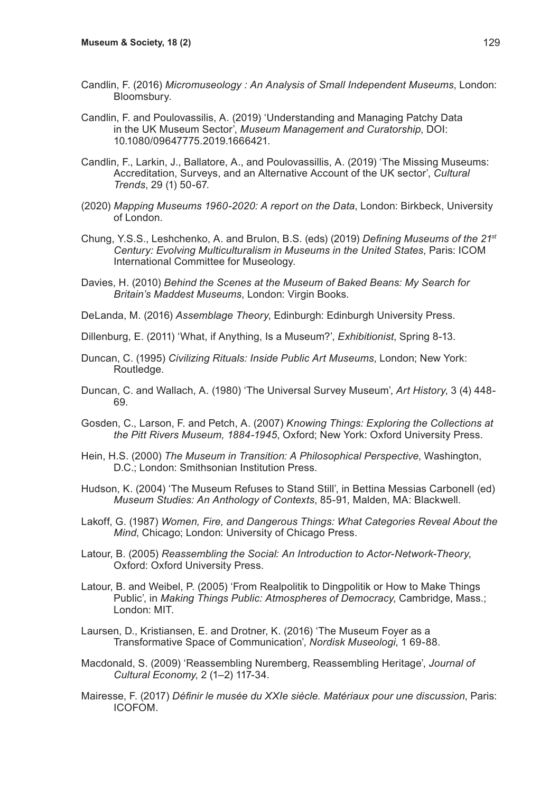- Candlin, F. (2016) *Micromuseology : An Analysis of Small Independent Museums*, London: Bloomsbury.
- Candlin, F. and Poulovassilis, A. (2019) 'Understanding and Managing Patchy Data in the UK Museum Sector', *Museum Management and Curatorship*, DOI: 10.1080/09647775.2019.1666421.
- Candlin, F., Larkin, J., Ballatore, A., and Poulovassillis, A. (2019) 'The Missing Museums: Accreditation, Surveys, and an Alternative Account of the UK sector', *Cultural Trends*, 29 (1) 50-67.
- (2020) *Mapping Museums 1960-2020: A report on the Data*, London: Birkbeck, University of London.
- Chung, Y.S.S., Leshchenko, A. and Brulon, B.S. (eds) (2019) *Defining Museums of the 21st Century: Evolving Multiculturalism in Museums in the United States*, Paris: ICOM International Committee for Museology.
- Davies, H. (2010) *Behind the Scenes at the Museum of Baked Beans: My Search for Britain's Maddest Museums*, London: Virgin Books.
- DeLanda, M. (2016) *Assemblage Theory*, Edinburgh: Edinburgh University Press.
- Dillenburg, E. (2011) 'What, if Anything, Is a Museum?', *Exhibitionist*, Spring 8-13.
- Duncan, C. (1995) *Civilizing Rituals: Inside Public Art Museums*, London; New York: Routledge.
- Duncan, C. and Wallach, A. (1980) 'The Universal Survey Museum', *Art History*, 3 (4) 448- 69.
- Gosden, C., Larson, F. and Petch, A. (2007) *Knowing Things: Exploring the Collections at the Pitt Rivers Museum, 1884-1945*, Oxford; New York: Oxford University Press.
- Hein, H.S. (2000) *The Museum in Transition: A Philosophical Perspective*, Washington, D.C.; London: Smithsonian Institution Press.
- Hudson, K. (2004) 'The Museum Refuses to Stand Still', in Bettina Messias Carbonell (ed) *Museum Studies: An Anthology of Contexts*, 85-91, Malden, MA: Blackwell.
- Lakoff, G. (1987) *Women, Fire, and Dangerous Things: What Categories Reveal About the Mind*, Chicago; London: University of Chicago Press.
- Latour, B. (2005) *Reassembling the Social: An Introduction to Actor-Network-Theory*, Oxford: Oxford University Press.
- Latour, B. and Weibel, P. (2005) 'From Realpolitik to Dingpolitik or How to Make Things Public', in *Making Things Public: Atmospheres of Democracy*, Cambridge, Mass.; London: MIT.
- Laursen, D., Kristiansen, E. and Drotner, K. (2016) 'The Museum Foyer as a Transformative Space of Communication', *Nordisk Museologi*, 1 69-88.
- Macdonald, S. (2009) 'Reassembling Nuremberg, Reassembling Heritage', *Journal of Cultural Economy*, 2 (1–2) 117-34.
- Mairesse, F. (2017) *Définir le musée du XXIe siècle. Matériaux pour une discussion*, Paris: ICOFOM.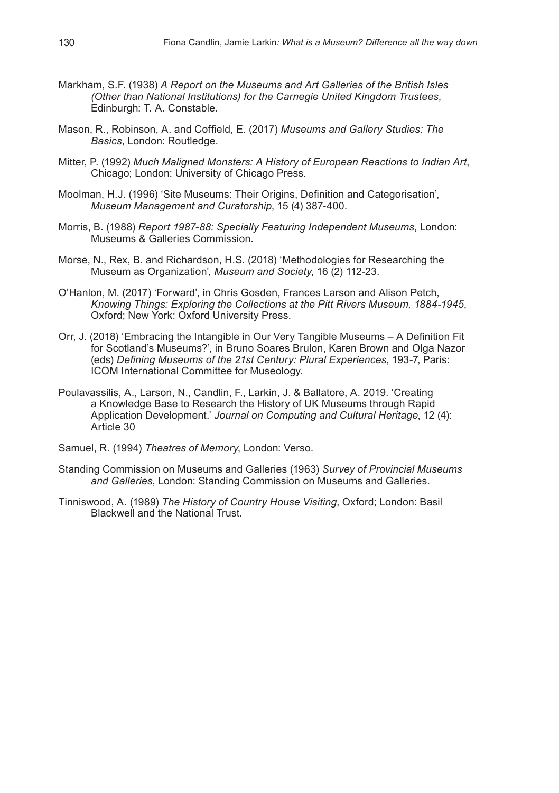- Markham, S.F. (1938) *A Report on the Museums and Art Galleries of the British Isles (Other than National Institutions) for the Carnegie United Kingdom Trustees*, Edinburgh: T. A. Constable.
- Mason, R., Robinson, A. and Coffield, E. (2017) *Museums and Gallery Studies: The Basics*, London: Routledge.
- Mitter, P. (1992) *Much Maligned Monsters: A History of European Reactions to Indian Art*, Chicago; London: University of Chicago Press.
- Moolman, H.J. (1996) 'Site Museums: Their Origins, Definition and Categorisation', *Museum Management and Curatorship*, 15 (4) 387-400.
- Morris, B. (1988) *Report 1987-88: Specially Featuring Independent Museums*, London: Museums & Galleries Commission.
- Morse, N., Rex, B. and Richardson, H.S. (2018) 'Methodologies for Researching the Museum as Organization', *Museum and Society*, 16 (2) 112-23.
- O'Hanlon, M. (2017) 'Forward', in Chris Gosden, Frances Larson and Alison Petch, *Knowing Things: Exploring the Collections at the Pitt Rivers Museum, 1884-1945*, Oxford; New York: Oxford University Press.
- Orr, J. (2018) 'Embracing the Intangible in Our Very Tangible Museums A Definition Fit for Scotland's Museums?', in Bruno Soares Brulon, Karen Brown and Olga Nazor (eds) *Defining Museums of the 21st Century: Plural Experiences*, 193-7, Paris: ICOM International Committee for Museology.
- Poulavassilis, A., Larson, N., Candlin, F., Larkin, J. & Ballatore, A. 2019. 'Creating a Knowledge Base to Research the History of UK Museums through Rapid Application Development.' *Journal on Computing and Cultural Heritage*, 12 (4): Article 30
- Samuel, R. (1994) *Theatres of Memory*, London: Verso.
- Standing Commission on Museums and Galleries (1963) *Survey of Provincial Museums and Galleries*, London: Standing Commission on Museums and Galleries.
- Tinniswood, A. (1989) *The History of Country House Visiting*, Oxford; London: Basil Blackwell and the National Trust.